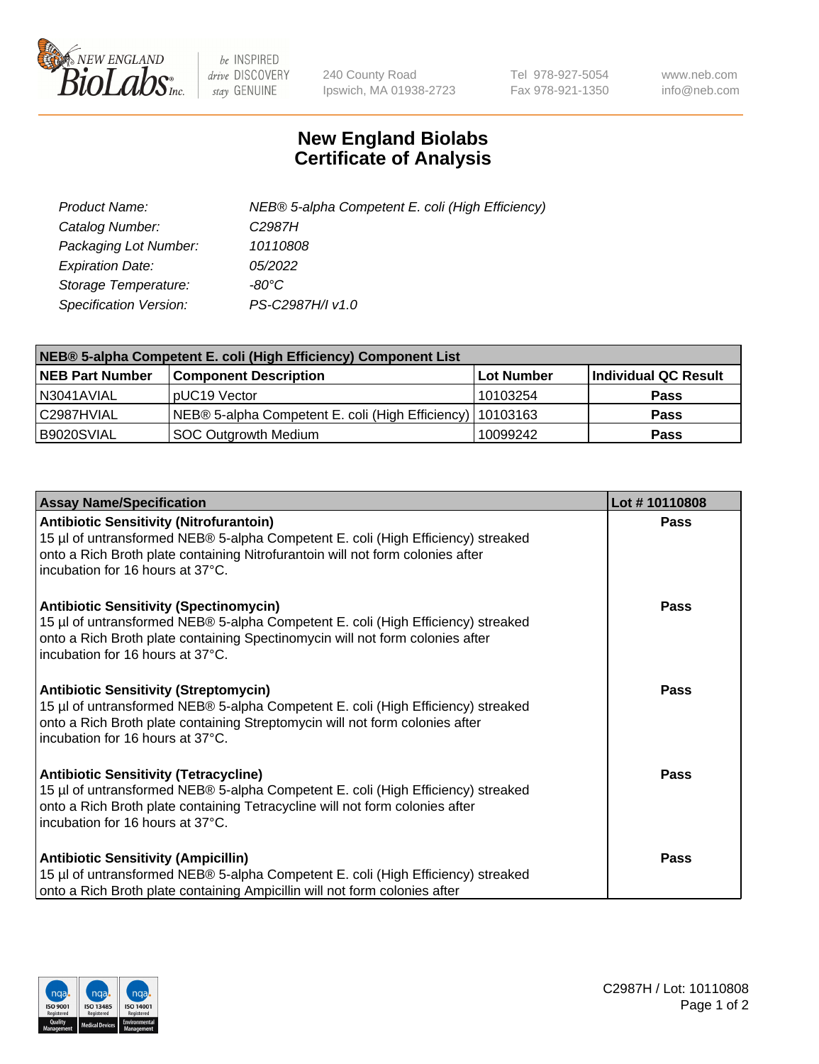

 $be$  INSPIRED drive DISCOVERY stay GENUINE

240 County Road Ipswich, MA 01938-2723 Tel 978-927-5054 Fax 978-921-1350 www.neb.com info@neb.com

## **New England Biolabs Certificate of Analysis**

| Product Name:           | NEB® 5-alpha Competent E. coli (High Efficiency) |
|-------------------------|--------------------------------------------------|
| Catalog Number:         | C <sub>2987</sub> H                              |
| Packaging Lot Number:   | 10110808                                         |
| <b>Expiration Date:</b> | <i>05/2022</i>                                   |
| Storage Temperature:    | -80°C                                            |
| Specification Version:  | PS-C2987H/I v1.0                                 |

| NEB® 5-alpha Competent E. coli (High Efficiency) Component List |                                                             |            |                      |  |
|-----------------------------------------------------------------|-------------------------------------------------------------|------------|----------------------|--|
| <b>NEB Part Number</b>                                          | <b>Component Description</b>                                | Lot Number | Individual QC Result |  |
| N3041AVIAL                                                      | pUC19 Vector                                                | 10103254   | <b>Pass</b>          |  |
| C2987HVIAL                                                      | NEB® 5-alpha Competent E. coli (High Efficiency)   10103163 |            | <b>Pass</b>          |  |
| B9020SVIAL                                                      | SOC Outgrowth Medium                                        | 10099242   | <b>Pass</b>          |  |

| <b>Assay Name/Specification</b>                                                                                                                                                                                                                          | Lot #10110808 |
|----------------------------------------------------------------------------------------------------------------------------------------------------------------------------------------------------------------------------------------------------------|---------------|
| <b>Antibiotic Sensitivity (Nitrofurantoin)</b><br>15 µl of untransformed NEB® 5-alpha Competent E. coli (High Efficiency) streaked<br>onto a Rich Broth plate containing Nitrofurantoin will not form colonies after<br>incubation for 16 hours at 37°C. | Pass          |
| <b>Antibiotic Sensitivity (Spectinomycin)</b><br>15 µl of untransformed NEB® 5-alpha Competent E. coli (High Efficiency) streaked<br>onto a Rich Broth plate containing Spectinomycin will not form colonies after<br>incubation for 16 hours at 37°C.   | Pass          |
| <b>Antibiotic Sensitivity (Streptomycin)</b><br>15 µl of untransformed NEB® 5-alpha Competent E. coli (High Efficiency) streaked<br>onto a Rich Broth plate containing Streptomycin will not form colonies after<br>incubation for 16 hours at 37°C.     | Pass          |
| <b>Antibiotic Sensitivity (Tetracycline)</b><br>15 µl of untransformed NEB® 5-alpha Competent E. coli (High Efficiency) streaked<br>onto a Rich Broth plate containing Tetracycline will not form colonies after<br>incubation for 16 hours at 37°C.     | Pass          |
| <b>Antibiotic Sensitivity (Ampicillin)</b><br>15 µl of untransformed NEB® 5-alpha Competent E. coli (High Efficiency) streaked<br>onto a Rich Broth plate containing Ampicillin will not form colonies after                                             | Pass          |